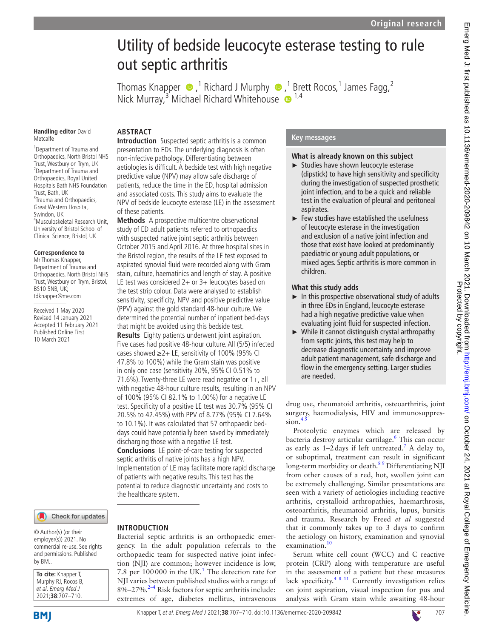# Utility of bedside leucocyte esterase testing to rule out septic arthritis

ThomasKnapper  $\bigcirc$  [,](http://orcid.org/0000-0003-2436-9024)<sup>1</sup> Richard J Murphy  $\bigcirc$  ,<sup>1</sup> Brett Rocos,<sup>1</sup> James Fagg,<sup>2</sup> Nick Murray,<sup>3</sup> Michael Richard Whitehouse <sup>1,4</sup>

#### **Handling editor** David Metcalfe

1 Department of Trauma and Orthopaedics, North Bristol NHS Trust, Westbury on Trym, UK 2 Department of Trauma and Orthopaedics, Royal United Hospitals Bath NHS Foundation Trust, Bath, UK <sup>3</sup>Trauma and Orthopaedics, Great Western Hospital, Swindon, UK 4 Musculoskeletal Research Unit, University of Bristol School of Clinical Science, Bristol, UK

### **Correspondence to**

Mr Thomas Knapper Department of Trauma and Orthopaedics, North Bristol NHS Trust, Westbury on Trym, Bristol, BS10 5NB, UK; tdknapper@me.com

Received 1 May 2020 Revised 14 January 2021 Accepted 11 February 2021 Published Online First 10 March 2021

# Check for updates

© Author(s) (or their employer(s)) 2021. No commercial re-use. See rights and permissions. Published by BMJ.

| To cite: Knapper T, |
|---------------------|
| Murphy RJ, Rocos B, |
| et al. Emerg Med J  |
| 2021;38:707-710.    |

# **ABSTRACT**

**Introduction** Suspected septic arthritis is a common presentation to EDs. The underlying diagnosis is often non-infective pathology. Differentiating between aetiologies is difficult. A bedside test with high negative predictive value (NPV) may allow safe discharge of patients, reduce the time in the ED, hospital admission and associated costs. This study aims to evaluate the NPV of bedside leucocyte esterase (LE) in the assessment of these patients.

**Methods** A prospective multicentre observational study of ED adult patients referred to orthopaedics with suspected native joint septic arthritis between October 2015 and April 2016. At three hospital sites in the Bristol region, the results of the LE test exposed to aspirated synovial fluid were recorded along with Gram stain, culture, haematinics and length of stay. A positive LE test was considered 2+ or 3+ leucocytes based on the test strip colour. Data were analysed to establish sensitivity, specificity, NPV and positive predictive value (PPV) against the gold standard 48-hour culture. We determined the potential number of inpatient bed-days that might be avoided using this bedside test.

**Results** Eighty patients underwent joint aspiration. Five cases had positive 48-hour culture. All (5/5) infected cases showed  $≥2+$  LE, sensitivity of 100% (95% CI 47.8% to 100%) while the Gram stain was positive in only one case (sensitivity 20%, 95% CI 0.51% to 71.6%). Twenty-three LE were read negative or 1+, all with negative 48-hour culture results, resulting in an NPV of 100% (95% CI 82.1% to 1.00%) for a negative LE test. Specificity of a positive LE test was 30.7% (95% CI 20.5% to 42.45%) with PPV of 8.77% (95% CI 7.64% to 10.1%). It was calculated that 57 orthopaedic beddays could have potentially been saved by immediately discharging those with a negative LE test. **Conclusions** LE point-of-care testing for suspected septic arthritis of native joints has a high NPV. Implementation of LE may facilitate more rapid discharge of patients with negative results. This test has the potential to reduce diagnostic uncertainty and costs to the healthcare system.

# **INTRODUCTION**

Bacterial septic arthritis is an orthopaedic emergency. In the adult population referrals to the orthopaedic team for suspected native joint infection (NJI) are common; however incidence is low, 7.8 per  $100000$  $100000$  in the UK.<sup>1</sup> The detection rate for NJI varies between published studies with a range of 8%–27%.<sup>[2–4](#page-3-1)</sup> Risk factors for septic arthritis include: extremes of age, diabetes mellitus, intravenous

## **Key messages**

## **What is already known on this subject**

- ► Studies have shown leucocyte esterase (dipstick) to have high sensitivity and specificity during the investigation of suspected prosthetic joint infection, and to be a quick and reliable test in the evaluation of pleural and peritoneal aspirates.
- ► Few studies have established the usefulness of leucocyte esterase in the investigation and exclusion of a native joint infection and those that exist have looked at predominantly paediatric or young adult populations, or mixed ages. Septic arthritis is more common in children.

## **What this study adds**

- $\blacktriangleright$  In this prospective observational study of adults in three EDs in England, leucocyte esterase had a high negative predictive value when evaluating joint fluid for suspected infection.
- ► While it cannot distinguish crystal arthropathy from septic joints, this test may help to decrease diagnostic uncertainty and improve adult patient management, safe discharge and flow in the emergency setting. Larger studies are needed.

drug use, rheumatoid arthritis, osteoarthritis, joint surgery, haemodialysis, HIV and immunosuppres $sion.<sup>4</sup>$ 

Proteolytic enzymes which are released by bacteria destroy articular cartilage.<sup>6</sup> This can occur as early as  $1-2$  days if left untreated.<sup>7</sup> A delay to, or suboptimal, treatment can result in significant long-term morbidity or death.<sup>89</sup> Differentiating NJI from other causes of a red, hot, swollen joint can be extremely challenging. Similar presentations are seen with a variety of aetiologies including reactive arthritis, crystalloid arthropathies, haemarthrosis, osteoarthritis, rheumatoid arthritis, lupus, bursitis and trauma. Research by Freed *et al* suggested that it commonly takes up to 3 days to confirm the aetiology on history, examination and synovial examination.

Serum white cell count (WCC) and C reactive protein (CRP) along with temperature are useful in the assessment of a patient but these measures lack specificity.<sup>[4 8 11](#page-3-2)</sup> Currently investigation relies on joint aspiration, visual inspection for pus and analysis with Gram stain while awaiting 48-hour

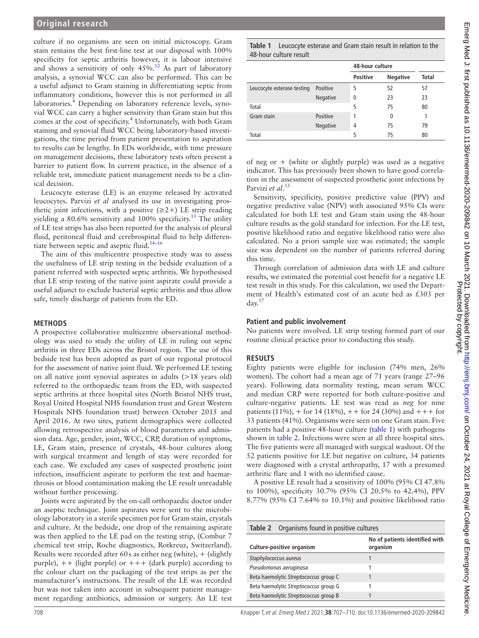culture if no organisms are seen on initial microscopy. Gram stain remains the best first-line test at our disposal with 100% specificity for septic arthritis however, it is labour intensive and shows a sensitivity of only  $45\%$ .<sup>12</sup> As part of laboratory analysis, a synovial WCC can also be performed. This can be a useful adjunct to Gram staining in differentiating septic from inflammatory conditions, however this is not performed in all laboratories.<sup>4</sup> Depending on laboratory reference levels, synovial WCC can carry a higher sensitivity than Gram stain but this comes at the cost of specificity.<sup>[4](#page-3-2)</sup> Unfortunately, with both Gram staining and synovial fluid WCC being laboratory-based investigations, the time period from patient presentation to aspiration to results can be lengthy. In EDs worldwide, with time pressure on management decisions, these laboratory tests often present a barrier to patient flow. In current practice, in the absence of a reliable test, immediate patient management needs to be a clinical decision.

Leucocyte esterase (LE) is an enzyme released by activated leucocytes. Parvizi *et al* analysed its use in investigating prosthetic joint infections, with a positive  $(\geq 2+)$  LE strip reading yielding a 80.6% sensitivity and 100% specificity.<sup>13</sup> The utility of LE test strips has also been reported for the analysis of pleural fluid, peritoneal fluid and cerebrospinal fluid to help differentiate between septic and aseptic fluid.<sup>14-16</sup>

The aim of this multicentre prospective study was to assess the usefulness of LE strip testing in the bedside evaluation of a patient referred with suspected septic arthritis. We hypothesised that LE strip testing of the native joint aspirate could provide a useful adjunct to exclude bacterial septic arthritis and thus allow safe, timely discharge of patients from the ED.

### **METHODS**

A prospective collaborative multicentre observational methodology was used to study the utility of LE in ruling out septic arthritis in three EDs across the Bristol region. The use of this bedside test has been adopted as part of our regional protocol for the assessment of native joint fluid. We performed LE testing on all native joint synovial aspirates in adults (>18 years old) referred to the orthopaedic team from the ED, with suspected septic arthritis at three hospital sites (North Bristol NHS trust, Royal United Hospital NHS foundation trust and Great Western Hospitals NHS foundation trust) between October 2015 and April 2016. At two sites, patient demographics were collected allowing retrospective analysis of blood parameters and admission data. Age, gender, joint, WCC, CRP, duration of symptoms, LE, Gram stain, presence of crystals, 48-hour cultures along with surgical treatment and length of stay were recorded for each case. We excluded any cases of suspected prosthetic joint infection, insufficient aspirate to perform the test and haemarthrosis or blood contamination making the LE result unreadable without further processing.

Joints were aspirated by the on-call orthopaedic doctor under an aseptic technique. Joint aspirates were sent to the microbiology laboratory in a sterile specimen pot for Gram stain, crystals and culture. At the bedside, one drop of the remaining aspirate was then applied to the LE pad on the testing strip, (Combur 7 chemical test strip, Roche diagnostics, Rotkreuz, Switzerland). Results were recorded after 60s as either neg (white),  $+$  (slightly purple),  $++$  (light purple) or  $++$  (dark purple) according to the colour chart on the packaging of the test strips as per the manufacturer's instructions. The result of the LE was recorded but was not taken into account in subsequent patient management regarding antibiotics, admission or surgery. An LE test

<span id="page-1-0"></span>

|                            |          | 48-hour culture |                 |              |
|----------------------------|----------|-----------------|-----------------|--------------|
|                            |          | <b>Positive</b> | <b>Negative</b> | <b>Total</b> |
| Leucocyte esterase testing | Positive | 5               | 52              | 57           |
|                            | Negative | 0               | 23              | 23           |
| Total                      |          | 5               | 75              | 80           |
| Gram stain                 | Positive | 1               | 0               |              |
|                            | Negative | 4               | 75              | 79           |
| Total                      |          | 5               | 75              | 80           |

of neg or  $+$  (white or slightly purple) was used as a negative indicator. This has previously been shown to have good correlation in the assessment of suspected prosthetic joint infections by Parvizi *et al*. [13](#page-3-8)

Sensitivity, specificity, positive predictive value (PPV) and negative predictive value (NPV) with associated 95% CIs were calculated for both LE test and Gram stain using the 48-hour culture results as the gold standard for infection. For the LE test, positive likelihood ratio and negative likelihood ratio were also calculated. No a priori sample size was estimated; the sample size was dependent on the number of patients referred during this time.

Through correlation of admission data with LE and culture results, we estimated the potential cost benefit for a negative LE test result in this study. For this calculation, we used the Department of Health's estimated cost of an acute bed as £303 per  $day<sup>17</sup>$  $day<sup>17</sup>$  $day<sup>17</sup>$ 

#### **Patient and public involvement**

No patients were involved. LE strip testing formed part of our routine clinical practice prior to conducting this study.

### **RESULTS**

Eighty patients were eligible for inclusion (74% men, 26% women). The cohort had a mean age of 71 years (range 27–96 years). Following data normality testing, mean serum WCC and median CRP were reported for both culture-positive and culture-negative patients. LE test was read as *neg* for nine patients (11%), + for 14 (18%), +*+* for 24 (30%) and *+++* for 33 patients (41%). Organisms were seen on one Gram stain. Five patients had a positive 48-hour culture [\(table](#page-1-0) 1) with pathogens shown in [table](#page-1-1) 2. Infections were seen at all three hospital sites. The five patients were all managed with surgical washout. Of the 52 patients positive for LE but negative on culture, 34 patients were diagnosed with a crystal arthropathy, 17 with a presumed arthritic flare and 1 with no identified cause.

A positive LE result had a sensitivity of 100% (95% CI 47.8% to 100%), specificity 30.7% (95% CI 20.5% to 42.4%), PPV 8.77% (95% CI 7.64% to 10.1%) and positive likelihood ratio

<span id="page-1-1"></span>

| <b>Table 2</b> Organisms found in positive cultures |                                            |  |  |  |
|-----------------------------------------------------|--------------------------------------------|--|--|--|
| Culture-positive organism                           | No of patients identified with<br>organism |  |  |  |
| Staphylococcus aureus                               |                                            |  |  |  |
| Pseudomonas aeruginosa                              |                                            |  |  |  |
| Beta haemolytic Streptococcus group C               |                                            |  |  |  |
| Beta haemolytic Streptococcus group G               |                                            |  |  |  |
| Beta haemolytic Streptococcus group B               |                                            |  |  |  |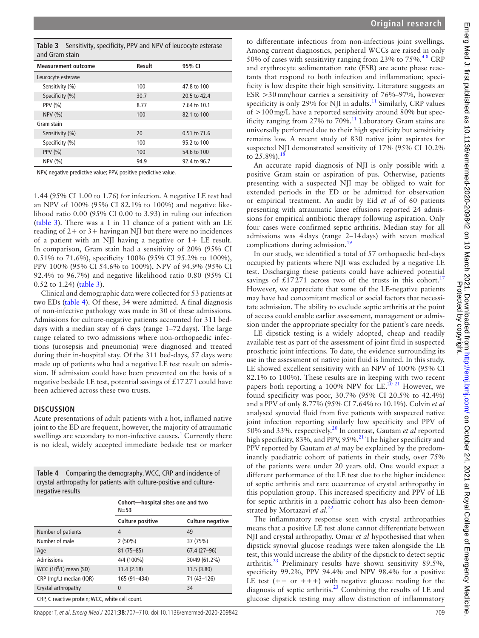<span id="page-2-0"></span>

| <b>Measurement outcome</b> | Result | 95% CI       |
|----------------------------|--------|--------------|
| Leucocyte esterase         |        |              |
| Sensitivity (%)            | 100    | 47.8 to 100  |
| Specificity (%)            | 30.7   | 20.5 to 42.4 |
| <b>PPV (%)</b>             | 8.77   | 7.64 to 10.1 |
| NPV (%)                    | 100    | 82.1 to 100  |
| Gram stain                 |        |              |
| Sensitivity (%)            | 20     | 0.51 to 71.6 |
| Specificity (%)            | 100    | 95.2 to 100  |
| PPV $(% )$                 | 100    | 54.6 to 100  |
| NPV (%)                    | 94.9   | 92.4 to 96.7 |

NPV, negative predictive value; PPV, positive predictive value.

1.44 (95% CI 1.00 to 1.76) for infection. A negative LE test had an NPV of 100% (95% CI 82.1% to 100%) and negative likelihood ratio 0.00 (95% CI 0.00 to 3.93) in ruling out infection ([table](#page-2-0) 3). There was a 1 in 11 chance of a patient with an LE reading of 2+ or 3+ having an NJI but there were no incidences of a patient with an NJI having a negative or 1+ LE result. In comparison, Gram stain had a sensitivity of 20% (95% CI 0.51% to 71.6%), specificity 100% (95% CI 95.2% to 100%), PPV 100% (95% CI 54.6% to 100%), NPV of 94.9% (95% CI 92.4% to 96.7%) and negative likelihood ratio 0.80 (95% CI 0.52 to 1.24) [\(table](#page-2-0) 3).

Clinical and demographic data were collected for 53 patients at two EDs ([table](#page-2-1) 4). Of these, 34 were admitted. A final diagnosis of non-infective pathology was made in 30 of these admissions. Admissions for culture-negative patients accounted for 311 beddays with a median stay of 6 days (range 1–72days). The large range related to two admissions where non-orthopaedic infections (urosepsis and pneumonia) were diagnosed and treated during their in-hospital stay. Of the 311 bed-days, 57 days were made up of patients who had a negative LE test result on admission. If admission could have been prevented on the basis of a negative bedside LE test, potential savings of  $£17271$  could have been achieved across these two trusts.

#### **DISCUSSION**

Acute presentations of adult patients with a hot, inflamed native joint to the ED are frequent, however, the majority of atraumatic swellings are secondary to non-infective causes.<sup>1</sup> Currently there is no ideal, widely accepted immediate bedside test or marker

<span id="page-2-1"></span>**Table 4** Comparing the demography, WCC, CRP and incidence of crystal arthropathy for patients with culture-positive and culturenegative results

|                                                 | $N = 53$         | Cohort-hospital sites one and two |  |  |
|-------------------------------------------------|------------------|-----------------------------------|--|--|
|                                                 | Culture positive | <b>Culture negative</b>           |  |  |
| Number of patients                              | 4                | 49                                |  |  |
| Number of male                                  | $2(50\%)$        | 37 (75%)                          |  |  |
| Age                                             | $81(75 - 85)$    | 67.4 (27-96)                      |  |  |
| Admissions                                      | 4/4 (100%)       | 30/49 (61.2%)                     |  |  |
| WCC $(10^9/L)$ mean (SD)                        | 11.4(2.18)       | 11.5(3.80)                        |  |  |
| CRP (mg/L) median (IQR)                         | 165 (91-434)     | 71 (43-126)                       |  |  |
| Crystal arthropathy                             | 0                | 34                                |  |  |
| CRP, C reactive protein; WCC, white cell count. |                  |                                   |  |  |

Knapper T, et al. Emerg Med J 2021;**38**:707–710. doi:10.1136/emermed-2020-209842 709

to differentiate infectious from non-infectious joint swellings. Among current diagnostics, peripheral WCCs are raised in only 50% of cases with sensitivity ranging from 23% to  $75\%$ .<sup>48</sup> CRP and erythrocyte sedimentation rate (ESR) are acute phase reactants that respond to both infection and inflammation; specificity is low despite their high sensitivity. Literature suggests an ESR >30mm/hour carries a sensitivity of 76%–97%, however specificity is only 29% for NJI in adults.<sup>11</sup> Similarly, CRP values of >100mg/L have a reported sensitivity around 80% but specificity ranging from 27% to 70%.<sup>11</sup> Laboratory Gram stains are universally performed due to their high specificity but sensitivity remains low. A recent study of 830 native joint aspirates for suspected NJI demonstrated sensitivity of 17% (95% CI 10.2% to  $25.8\%$ ).<sup>[18](#page-3-12)</sup>

An accurate rapid diagnosis of NJI is only possible with a positive Gram stain or aspiration of pus. Otherwise, patients presenting with a suspected NJI may be obliged to wait for extended periods in the ED or be admitted for observation or empirical treatment. An audit by Eid *et al* of 60 patients presenting with atraumatic knee effusions reported 24 admissions for empirical antibiotic therapy following aspiration. Only four cases were confirmed septic arthritis. Median stay for all admissions was 4days (range 2–14days) with seven medical complications during admission.<sup>[19](#page-3-13)</sup>

In our study, we identified a total of 57 orthopaedic bed-days occupied by patients where NJI was excluded by a negative LE test. Discharging these patients could have achieved potential savings of £[17](#page-3-10)271 across two of the trusts in this cohort.<sup>17</sup> However, we appreciate that some of the LE-negative patients may have had concomitant medical or social factors that necessitate admission. The ability to exclude septic arthritis at the point of access could enable earlier assessment, management or admission under the appropriate specialty for the patient's care needs.

LE dipstick testing is a widely adopted, cheap and readily available test as part of the assessment of joint fluid in suspected prosthetic joint infections. To date, the evidence surrounding its use in the assessment of native joint fluid is limited. In this study, LE showed excellent sensitivity with an NPV of 100% (95% CI 82.1% to 100%). These results are in keeping with two recent papers both reporting a 100% NPV for LE.<sup>[20 21](#page-3-14)</sup> However, we found specificity was poor, 30.7% (95% CI 20.5% to 42.4%) and a PPV of only 8.77% (95% CI 7.64% to 10.1%). Colvin *et al* analysed synovial fluid from five patients with suspected native joint infection reporting similarly low specificity and PPV of 50% and 33%, respectively[.20](#page-3-14) In contrast, Gautam *et al* reported high specificity, 83%, and PPV, 95%.<sup>21</sup> The higher specificity and PPV reported by Gautam *et al* may be explained by the predominantly paediatric cohort of patients in their study, over 75% of the patients were under 20 years old. One would expect a different performance of the LE test due to the higher incidence of septic arthritis and rare occurrence of crystal arthropathy in this population group. This increased specificity and PPV of LE for septic arthritis in a paediatric cohort has also been demonstrated by Mortazavi *et al.*[22](#page-3-16)

The inflammatory response seen with crystal arthropathies means that a positive LE test alone cannot differentiate between NJI and crystal arthropathy. Omar *et al* hypothesised that when dipstick synovial glucose readings were taken alongside the LE test, this would increase the ability of the dipstick to detect septic arthritis.<sup>[23](#page-3-17)</sup> Preliminary results have shown sensitivity 89.5%, specificity 99.2%, PPV 94.4% and NPV 98.4% for a positive LE test  $(+ + or + +)$  with negative glucose reading for the diagnosis of septic arthritis.<sup>[23](#page-3-17)</sup> Combining the results of LE and glucose dipstick testing may allow distinction of inflammatory